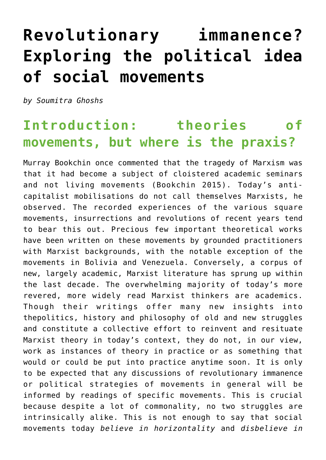# **[Revolutionary immanence?](https://beyonddevelopment.net/revolutionary-immanence-exploring-the-political-idea-of-social-movements/) [Exploring the political idea](https://beyonddevelopment.net/revolutionary-immanence-exploring-the-political-idea-of-social-movements/) [of social movements](https://beyonddevelopment.net/revolutionary-immanence-exploring-the-political-idea-of-social-movements/)**

*by Soumitra Ghoshs*

# **Introduction: theories of movements, but where is the praxis?**

Murray Bookchin once commented that the tragedy of Marxism was that it had become a subject of cloistered academic seminars and not living movements (Bookchin 2015). Today's anticapitalist mobilisations do not call themselves Marxists, he observed. The recorded experiences of the various square movements, insurrections and revolutions of recent years tend to bear this out. Precious few important theoretical works have been written on these movements by grounded practitioners with Marxist backgrounds, with the notable exception of the movements in Bolivia and Venezuela. Conversely, a corpus of new, largely academic, Marxist literature has sprung up within the last decade. The overwhelming majority of today's more revered, more widely read Marxist thinkers are academics. Though their writings offer many new insights into thepolitics, history and philosophy of old and new struggles and constitute a collective effort to reinvent and resituate Marxist theory in today's context, they do not, in our view, work as instances of theory in practice or as something that would or could be put into practice anytime soon. It is only to be expected that any discussions of revolutionary immanence or political strategies of movements in general will be informed by readings of specific movements. This is crucial because despite a lot of commonality, no two struggles are intrinsically alike. This is not enough to say that social movements today *believe in horizontality* and *disbelieve in*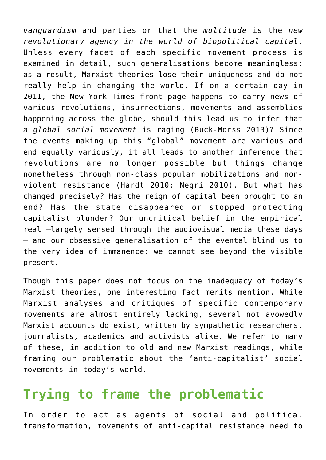*vanguardism* and parties or that the *multitude* is the *new revolutionary agency in the world of biopolitical capital*. Unless every facet of each specific movement process is examined in detail, such generalisations become meaningless; as a result, Marxist theories lose their uniqueness and do not really help in changing the world. If on a certain day in 2011, the New York Times front page happens to carry news of various revolutions, insurrections, movements and assemblies happening across the globe, should this lead us to infer that *a global social movement* is raging (Buck-Morss 2013)? Since the events making up this "global" movement are various and end equally variously, it all leads to another inference that revolutions are no longer possible but things change nonetheless through non-class popular mobilizations and nonviolent resistance (Hardt 2010; Negri 2010). But what has changed precisely? Has the reign of capital been brought to an end? Has the state disappeared or stopped protecting capitalist plunder? Our uncritical belief in the empirical real —largely sensed through the audiovisual media these days — and our obsessive generalisation of the evental blind us to the very idea of immanence: we cannot see beyond the visible present.

Though this paper does not focus on the inadequacy of today's Marxist theories, one interesting fact merits mention. While Marxist analyses and critiques of specific contemporary movements are almost entirely lacking, several not avowedly Marxist accounts do exist, written by sympathetic researchers, journalists, academics and activists alike. We refer to many of these, in addition to old and new Marxist readings, while framing our problematic about the 'anti-capitalist' social movements in today's world.

#### **Trying to frame the problematic**

In order to act as agents of social and political transformation, movements of anti-capital resistance need to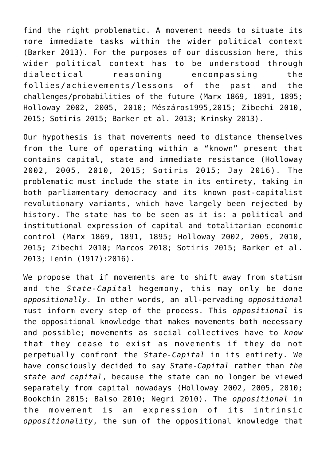find the right problematic. A movement needs to situate its more immediate tasks within the wider political context (Barker 2013). For the purposes of our discussion here, this wider political context has to be understood through dialectical reasoning encompassing the follies/achievements/lessons of the past and the challenges/probabilities of the future (Marx 1869, 1891, 1895; Holloway 2002, 2005, 2010; Mészáros1995,2015; Zibechi 2010, 2015; Sotiris 2015; Barker et al. 2013; Krinsky 2013).

Our hypothesis is that movements need to distance themselves from the lure of operating within a "known" present that contains capital, state and immediate resistance (Holloway 2002, 2005, 2010, 2015; Sotiris 2015; Jay 2016). The problematic must include the state in its entirety, taking in both parliamentary democracy and its known post-capitalist revolutionary variants, which have largely been rejected by history. The state has to be seen as it is: a political and institutional expression of capital and totalitarian economic control (Marx 1869, 1891, 1895; Holloway 2002, 2005, 2010, 2015; Zibechi 2010; Marcos 2018; Sotiris 2015; Barker et al. 2013; Lenin (1917):2016).

We propose that if movements are to shift away from statism and the *State-Capital* hegemony, this may only be done *oppositionally*. In other words, an all-pervading *oppositional* must inform every step of the process. This *oppositional* is the oppositional knowledge that makes movements both necessary and possible; movements as social collectives have to *know* that they cease to exist as movements if they do not perpetually confront the *State-Capital* in its entirety. We have consciously decided to say *State-Capital* rather than *the state and capital*, because the state can no longer be viewed separately from capital nowadays (Holloway 2002, 2005, 2010; Bookchin 2015; Balso 2010; Negri 2010). The *oppositional* in the movement is an expression of its intrinsic *oppositionality*, the sum of the oppositional knowledge that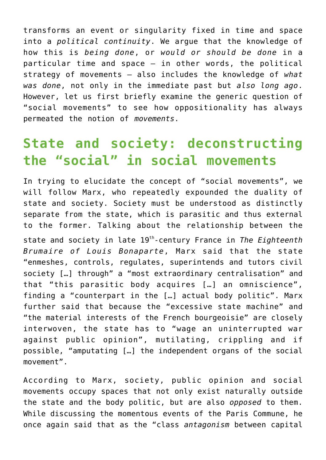transforms an event or singularity fixed in time and space into a *political continuity*. We argue that the knowledge of how this is *being done*, or *would or should be done* in a particular time and space — in other words, the political strategy of movements — also includes the knowledge of *what was done*, not only in the immediate past but *also long ago*. However, let us first briefly examine the generic question of "social movements" to see how oppositionality has always permeated the notion of *movements*.

# **State and society: deconstructing the "social" in social movements**

In trying to elucidate the concept of "social movements", we will follow Marx, who repeatedly expounded the duality of state and society. Society must be understood as distinctly separate from the state, which is parasitic and thus external to the former. Talking about the relationship between the

state and society in late 19th-century France in *The Eighteenth Brumaire of Louis Bonaparte*, Marx said that the state "enmeshes, controls, regulates, superintends and tutors civil society […] through" a "most extraordinary centralisation" and that "this parasitic body acquires […] an omniscience", finding a "counterpart in the […] actual body politic". Marx further said that because the "excessive state machine" and "the material interests of the French bourgeoisie" are closely interwoven, the state has to "wage an uninterrupted war against public opinion", mutilating, crippling and if possible, "amputating […] the independent organs of the social movement".

According to Marx, society, public opinion and social movements occupy spaces that not only exist naturally outside the state and the body politic, but are also *opposed* to them. While discussing the momentous events of the Paris Commune, he once again said that as the "class *antagonism* between capital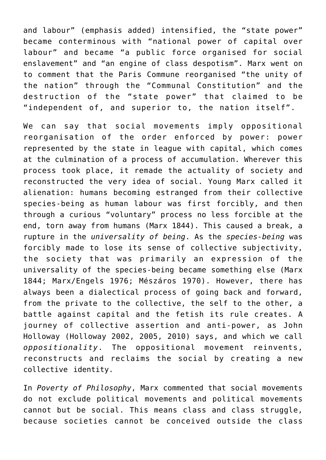and labour" (emphasis added) intensified, the "state power" became conterminous with "national power of capital over labour" and became "a public force organised for social enslavement" and "an engine of class despotism". Marx went on to comment that the Paris Commune reorganised "the unity of the nation" through the "Communal Constitution" and the destruction of the "state power" that claimed to be "independent of, and superior to, the nation itself".

We can say that social movements imply oppositional reorganisation of the order enforced by power: power represented by the state in league with capital, which comes at the culmination of a process of accumulation. Wherever this process took place, it remade the actuality of society and reconstructed the very idea of social. Young Marx called it alienation: humans becoming estranged from their collective species-being as human labour was first forcibly, and then through a curious "voluntary" process no less forcible at the end, torn away from humans (Marx 1844). This caused a break, a rupture in the *universality of being*. As the *species-being* was forcibly made to lose its sense of collective subjectivity, the society that was primarily an expression of the universality of the species-being became something else (Marx 1844; Marx/Engels 1976; Mészáros 1970). However, there has always been a dialectical process of going back and forward, from the private to the collective, the self to the other, a battle against capital and the fetish its rule creates. A journey of collective assertion and anti-power, as John Holloway (Holloway 2002, 2005, 2010) says, and which we call *oppositionality*. The oppositional movement reinvents, reconstructs and reclaims the social by creating a new collective identity.

In *Poverty of Philosophy*, Marx commented that social movements do not exclude political movements and political movements cannot but be social. This means class and class struggle, because societies cannot be conceived outside the class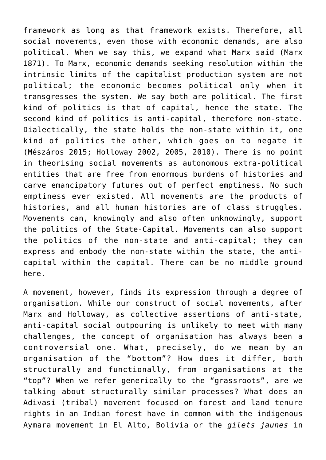framework as long as that framework exists. Therefore, all social movements, even those with economic demands, are also political. When we say this, we expand what Marx said (Marx 1871). To Marx, economic demands seeking resolution within the intrinsic limits of the capitalist production system are not political; the economic becomes political only when it transgresses the system. We say both are political. The first kind of politics is that of capital, hence the state. The second kind of politics is anti-capital, therefore non-state. Dialectically, the state holds the non-state within it, one kind of politics the other, which goes on to negate it (Mészáros 2015; Holloway 2002, 2005, 2010). There is no point in theorising social movements as autonomous extra-political entities that are free from enormous burdens of histories and carve emancipatory futures out of perfect emptiness. No such emptiness ever existed. All movements are the products of histories, and all human histories are of class struggles, Movements can, knowingly and also often unknowingly, support the politics of the State-Capital. Movements can also support the politics of the non-state and anti-capital; they can express and embody the non-state within the state, the anticapital within the capital. There can be no middle ground here.

A movement, however, finds its expression through a degree of organisation. While our construct of social movements, after Marx and Holloway, as collective assertions of anti-state, anti-capital social outpouring is unlikely to meet with many challenges, the concept of organisation has always been a controversial one. What, precisely, do we mean by an organisation of the "bottom"? How does it differ, both structurally and functionally, from organisations at the "top"? When we refer generically to the "grassroots", are we talking about structurally similar processes? What does an Adivasi (tribal) movement focused on forest and land tenure rights in an Indian forest have in common with the indigenous Aymara movement in El Alto, Bolivia or the *gilets jaunes* in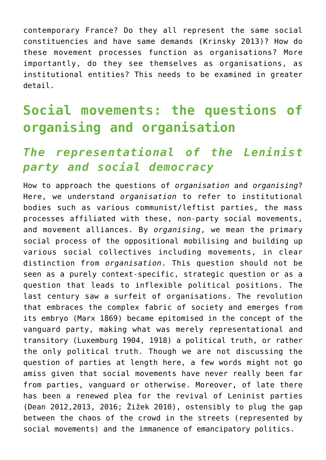contemporary France? Do they all represent the same social constituencies and have same demands (Krinsky 2013)? How do these movement processes function as organisations? More importantly, do they see themselves as organisations, as institutional entities? This needs to be examined in greater detail.

# **Social movements: the questions of organising and organisation**

#### *The representational of the Leninist party and social democracy*

How to approach the questions of *organisation* and *organising*? Here, we understand *organisation* to refer to institutional bodies such as various communist/leftist parties, the mass processes affiliated with these, non-party social movements, and movement alliances. By *organising*, we mean the primary social process of the oppositional mobilising and building up various social collectives including movements, in clear distinction from *organisation*. This question should not be seen as a purely context-specific, strategic question or as a question that leads to inflexible political positions. The last century saw a surfeit of organisations. The revolution that embraces the complex fabric of society and emerges from its embryo (Marx 1869) became epitomised in the concept of the vanguard party, making what was merely representational and transitory (Luxemburg 1904, 1918) a political truth, or rather the only political truth. Though we are not discussing the question of parties at length here, a few words might not go amiss given that social movements have never really been far from parties, vanguard or otherwise. Moreover, of late there has been a renewed plea for the revival of Leninist parties (Dean 2012,2013, 2016; Žižek 2010), ostensibly to plug the gap between the chaos of the crowd in the streets (represented by social movements) and the immanence of emancipatory politics.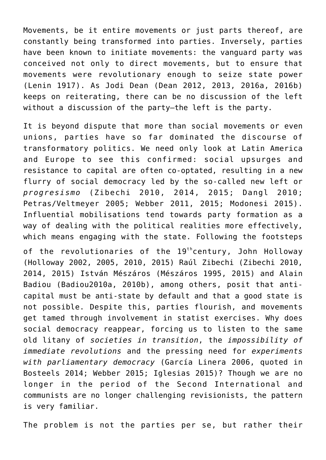Movements, be it entire movements or just parts thereof, are constantly being transformed into parties. Inversely, parties have been known to initiate movements: the vanguard party was conceived not only to direct movements, but to ensure that movements were revolutionary enough to seize state power (Lenin 1917). As Jodi Dean (Dean 2012, 2013, 2016a, 2016b) keeps on reiterating, there can be no discussion of the left without a discussion of the party—the left is the party.

It is beyond dispute that more than social movements or even unions, parties have so far dominated the discourse of transformatory politics. We need only look at Latin America and Europe to see this confirmed: social upsurges and resistance to capital are often co-optated, resulting in a new flurry of social democracy led by the so-called new left or *progresismo* (Zibechi 2010, 2014, 2015; Dangl 2010; Petras/Veltmeyer 2005; Webber 2011, 2015; Modonesi 2015). Influential mobilisations tend towards party formation as a way of dealing with the political realities more effectively, which means engaging with the state. Following the footsteps

of the revolutionaries of the  $19<sup>th</sup>$ century, John Hollowav (Holloway 2002, 2005, 2010, 2015) Raúl Zibechi (Zibechi 2010, 2014, 2015) István Mészáros (Mészáros 1995, 2015) and Alain Badiou (Badiou2010a, 2010b), among others, posit that anticapital must be anti-state by default and that a good state is not possible. Despite this, parties flourish, and movements get tamed through involvement in statist exercises. Why does social democracy reappear, forcing us to listen to the same old litany of *societies in transition*, the *impossibility of immediate revolutions* and the pressing need for *experiments with parliamentary democracy* (García Linera 2006, quoted in Bosteels 2014; Webber 2015; Iglesias 2015)? Though we are no longer in the period of the Second International and communists are no longer challenging revisionists, the pattern is very familiar.

The problem is not the parties per se, but rather their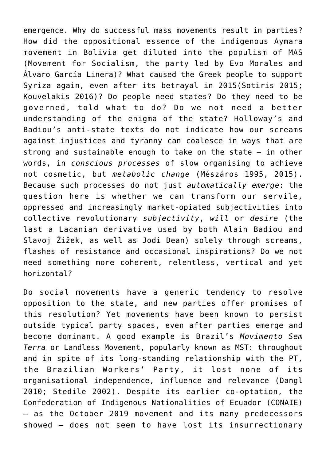emergence. Why do successful mass movements result in parties? How did the oppositional essence of the indigenous Aymara movement in Bolivia get diluted into the populism of MAS (Movement for Socialism, the party led by Evo Morales and Álvaro García Linera)? What caused the Greek people to support Syriza again, even after its betrayal in 2015(Sotiris 2015; Kouvelakis 2016)? Do people need states? Do they need to be governed, told what to do? Do we not need a better understanding of the enigma of the state? Holloway's and Badiou's anti-state texts do not indicate how our screams against injustices and tyranny can coalesce in ways that are strong and sustainable enough to take on the state — in other words, in *conscious processes* of slow organising to achieve not cosmetic, but *metabolic change* (Mészáros 1995, 2015). Because such processes do not just *automatically emerge*: the question here is whether we can transform our servile, oppressed and increasingly market-opiated subjectivities into collective revolutionary *subjectivity*, *will* or *desire* (the last a Lacanian derivative used by both Alain Badiou and Slavoj Žižek, as well as Jodi Dean) solely through screams, flashes of resistance and occasional inspirations? Do we not need something more coherent, relentless, vertical and yet horizontal?

Do social movements have a generic tendency to resolve opposition to the state, and new parties offer promises of this resolution? Yet movements have been known to persist outside typical party spaces, even after parties emerge and become dominant. A good example is Brazil's *Movimento Sem Terra* or Landless Movement, popularly known as MST: throughout and in spite of its long-standing relationship with the PT, the Brazilian Workers' Party, it lost none of its organisational independence, influence and relevance (Dangl 2010; Stedile 2002). Despite its earlier co-optation, the Confederation of Indigenous Nationalities of Ecuador (CONAIE) — as the October 2019 movement and its many predecessors showed — does not seem to have lost its insurrectionary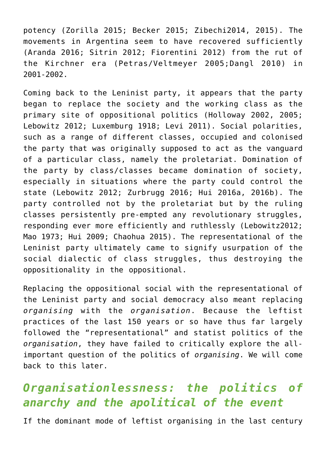potency (Zorilla 2015; Becker 2015; Zibechi2014, 2015). The movements in Argentina seem to have recovered sufficiently (Aranda 2016; Sitrin 2012; Fiorentini 2012) from the rut of the Kirchner era (Petras/Veltmeyer 2005;Dangl 2010) in 2001-2002.

Coming back to the Leninist party, it appears that the party began to replace the society and the working class as the primary site of oppositional politics (Holloway 2002, 2005; Lebowitz 2012; Luxemburg 1918; Levi 2011). Social polarities, such as a range of different classes, occupied and colonised the party that was originally supposed to act as the vanguard of a particular class, namely the proletariat. Domination of the party by class/classes became domination of society, especially in situations where the party could control the state (Lebowitz 2012; Zurbrugg 2016; Hui 2016a, 2016b). The party controlled not by the proletariat but by the ruling classes persistently pre-empted any revolutionary struggles, responding ever more efficiently and ruthlessly (Lebowitz2012; Mao 1973; Hui 2009; Chaohua 2015). The representational of the Leninist party ultimately came to signify usurpation of the social dialectic of class struggles, thus destroying the oppositionality in the oppositional.

Replacing the oppositional social with the representational of the Leninist party and social democracy also meant replacing *organising* with the *organisation*. Because the leftist practices of the last 150 years or so have thus far largely followed the "representational" and statist politics of the *organisation*, they have failed to critically explore the allimportant question of the politics of *organising*. We will come back to this later.

#### *Organisationlessness: the politics of anarchy and the apolitical of the event*

If the dominant mode of leftist organising in the last century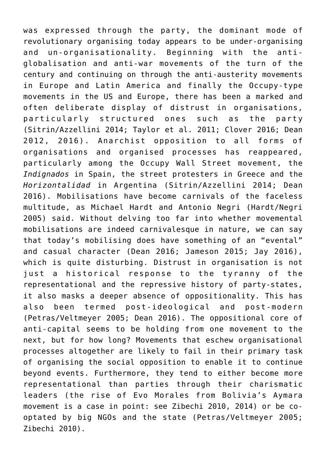was expressed through the party, the dominant mode of revolutionary organising today appears to be under-organising and un-organisationality. Beginning with the antiglobalisation and anti-war movements of the turn of the century and continuing on through the anti-austerity movements in Europe and Latin America and finally the Occupy-type movements in the US and Europe, there has been a marked and often deliberate display of distrust in organisations, particularly structured ones such as the party (Sitrin/Azzellini 2014; Taylor et al. 2011; Clover 2016; Dean 2012, 2016). Anarchist opposition to all forms of organisations and organised processes has reappeared, particularly among the Occupy Wall Street movement, the *Indignados* in Spain, the street protesters in Greece and the *Horizontalidad* in Argentina (Sitrin/Azzellini 2014; Dean 2016). Mobilisations have become carnivals of the faceless multitude, as Michael Hardt and Antonio Negri (Hardt/Negri 2005) said. Without delving too far into whether movemental mobilisations are indeed carnivalesque in nature, we can say that today's mobilising does have something of an "evental" and casual character (Dean 2016; Jameson 2015; Jay 2016), which is quite disturbing. Distrust in organisation is not just a historical response to the tyranny of the representational and the repressive history of party-states, it also masks a deeper absence of oppositionality. This has also been termed post-ideological and post-modern (Petras/Veltmeyer 2005; Dean 2016). The oppositional core of anti-capital seems to be holding from one movement to the next, but for how long? Movements that eschew organisational processes altogether are likely to fail in their primary task of organising the social opposition to enable it to continue beyond events. Furthermore, they tend to either become more representational than parties through their charismatic leaders (the rise of Evo Morales from Bolivia's Aymara movement is a case in point: see Zibechi 2010, 2014) or be cooptated by big NGOs and the state (Petras/Veltmeyer 2005; Zibechi 2010).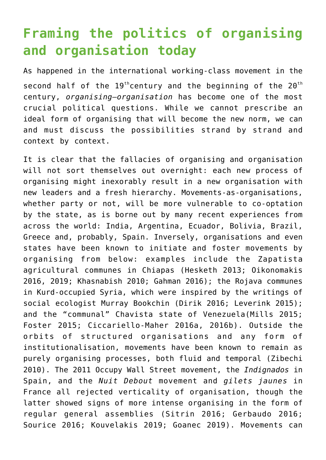# **Framing the politics of organising and organisation today**

As happened in the international working-class movement in the second half of the  $19<sup>th</sup>$ century and the beginning of the  $20<sup>th</sup>$ century, *organising*–*organisation* has become one of the most crucial political questions. While we cannot prescribe an ideal form of organising that will become the new norm, we can and must discuss the possibilities strand by strand and context by context.

It is clear that the fallacies of organising and organisation will not sort themselves out overnight: each new process of organising might inexorably result in a new organisation with new leaders and a fresh hierarchy. Movements-as-organisations, whether party or not, will be more vulnerable to co-optation by the state, as is borne out by many recent experiences from across the world: India, Argentina, Ecuador, Bolivia, Brazil, Greece and, probably, Spain. Inversely, organisations and even states have been known to initiate and foster movements by organising from below: examples include the Zapatista agricultural communes in Chiapas (Hesketh 2013; Oikonomakis 2016, 2019; Khasnabish 2010; Gahman 2016); the Rojava communes in Kurd-occupied Syria, which were inspired by the writings of social ecologist Murray Bookchin (Dirik 2016; Leverink 2015); and the "communal" Chavista state of Venezuela(Mills 2015; Foster 2015; Ciccariello-Maher 2016a, 2016b). Outside the orbits of structured organisations and any form of institutionalisation, movements have been known to remain as purely organising processes, both fluid and temporal (Zibechi 2010). The 2011 Occupy Wall Street movement, the *Indignados* in Spain, and the *Nuit Debout* movement and *gilets jaunes* in France all rejected verticality of organisation, though the latter showed signs of more intense organising in the form of regular general assemblies (Sitrin 2016; Gerbaudo 2016; Sourice 2016; Kouvelakis 2019; Goanec 2019). Movements can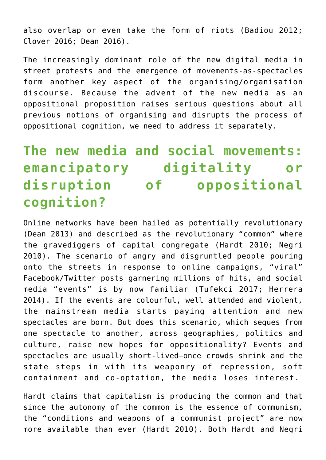also overlap or even take the form of riots (Badiou 2012; Clover 2016; Dean 2016).

The increasingly dominant role of the new digital media in street protests and the emergence of movements-as-spectacles form another key aspect of the organising/organisation discourse. Because the advent of the new media as an oppositional proposition raises serious questions about all previous notions of organising and disrupts the process of oppositional cognition, we need to address it separately.

# **The new media and social movements: emancipatory digitality or disruption of oppositional cognition?**

Online networks have been hailed as potentially revolutionary (Dean 2013) and described as the revolutionary "common" where the gravediggers of capital congregate (Hardt 2010; Negri 2010). The scenario of angry and disgruntled people pouring onto the streets in response to online campaigns, "viral" Facebook/Twitter posts garnering millions of hits, and social media "events" is by now familiar (Tufekci 2017; Herrera 2014). If the events are colourful, well attended and violent, the mainstream media starts paying attention and new spectacles are born. But does this scenario, which segues from one spectacle to another, across geographies, politics and culture, raise new hopes for oppositionality? Events and spectacles are usually short-lived—once crowds shrink and the state steps in with its weaponry of repression, soft containment and co-optation, the media loses interest.

Hardt claims that capitalism is producing the common and that since the autonomy of the common is the essence of communism, the "conditions and weapons of a communist project" are now more available than ever (Hardt 2010). Both Hardt and Negri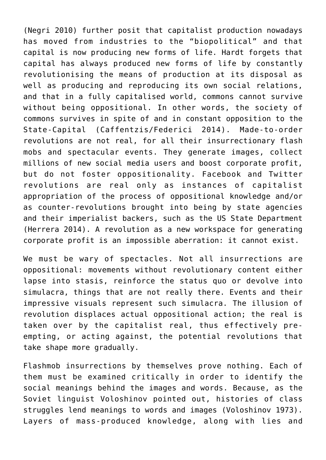(Negri 2010) further posit that capitalist production nowadays has moved from industries to the "biopolitical" and that capital is now producing new forms of life. Hardt forgets that capital has always produced new forms of life by constantly revolutionising the means of production at its disposal as well as producing and reproducing its own social relations, and that in a fully capitalised world, commons cannot survive without being oppositional. In other words, the society of commons survives in spite of and in constant opposition to the State-Capital (Caffentzis/Federici 2014). Made-to-order revolutions are not real, for all their insurrectionary flash mobs and spectacular events. They generate images, collect millions of new social media users and boost corporate profit, but do not foster oppositionality. Facebook and Twitter revolutions are real only as instances of capitalist appropriation of the process of oppositional knowledge and/or as counter-revolutions brought into being by state agencies and their imperialist backers, such as the US State Department (Herrera 2014). A revolution as a new workspace for generating corporate profit is an impossible aberration: it cannot exist.

We must be wary of spectacles. Not all insurrections are oppositional: movements without revolutionary content either lapse into stasis, reinforce the status quo or devolve into simulacra, things that are not really there. Events and their impressive visuals represent such simulacra. The illusion of revolution displaces actual oppositional action; the real is taken over by the capitalist real, thus effectively preempting, or acting against, the potential revolutions that take shape more gradually.

Flashmob insurrections by themselves prove nothing. Each of them must be examined critically in order to identify the social meanings behind the images and words. Because, as the Soviet linguist Voloshinov pointed out, histories of class struggles lend meanings to words and images (Voloshinov 1973). Layers of mass-produced knowledge, along with lies and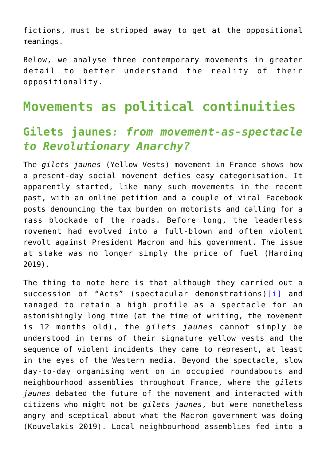fictions, must be stripped away to get at the oppositional meanings.

Below, we analyse three contemporary movements in greater detail to better understand the reality of their oppositionality.

#### **Movements as political continuities**

#### **Gilets jaunes***: from movement-as-spectacle to Revolutionary Anarchy?*

The *gilets jaunes* (Yellow Vests) movement in France shows how a present-day social movement defies easy categorisation. It apparently started, like many such movements in the recent past, with an online petition and a couple of viral Facebook posts denouncing the tax burden on motorists and calling for a mass blockade of the roads. Before long, the leaderless movement had evolved into a full-blown and often violent revolt against President Macron and his government. The issue at stake was no longer simply the price of fuel (Harding 2019).

The thing to note here is that although they carried out a succession of "Acts" (spectacular demonstrations)[\[i\]](#page--1-0) and managed to retain a high profile as a spectacle for an astonishingly long time (at the time of writing, the movement is 12 months old), the *gilets jaunes* cannot simply be understood in terms of their signature yellow vests and the sequence of violent incidents they came to represent, at least in the eyes of the Western media. Beyond the spectacle, slow day-to-day organising went on in occupied roundabouts and neighbourhood assemblies throughout France, where the *gilets jaunes* debated the future of the movement and interacted with citizens who might not be *gilets jaunes*, but were nonetheless angry and sceptical about what the Macron government was doing (Kouvelakis 2019). Local neighbourhood assemblies fed into a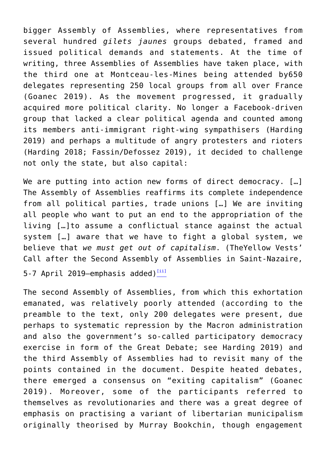bigger Assembly of Assemblies, where representatives from several hundred *gilets jaunes* groups debated, framed and issued political demands and statements. At the time of writing, three Assemblies of Assemblies have taken place, with the third one at Montceau-les-Mines being attended by650 delegates representing 250 local groups from all over France (Goanec 2019). As the movement progressed, it gradually acquired more political clarity. No longer a Facebook-driven group that lacked a clear political agenda and counted among its members anti-immigrant right-wing sympathisers (Harding 2019) and perhaps a multitude of angry protesters and rioters (Harding 2018; Fassin/Defossez 2019), it decided to challenge not only the state, but also capital:

We are putting into action new forms of direct democracy. [...] The Assembly of Assemblies reaffirms its complete independence from all political parties, trade unions […] We are inviting all people who want to put an end to the appropriation of the living […]to assume a conflictual stance against the actual system […] aware that we have to fight a global system, we believe that *we must get out of capitalism*. (TheYellow Vests' Call after the Second Assembly of Assemblies in Saint-Nazaire,

5-7 April 2019—emphasis added) $\frac{[ii]}{[ii]}$  $\frac{[ii]}{[ii]}$  $\frac{[ii]}{[ii]}$ 

The second Assembly of Assemblies, from which this exhortation emanated, was relatively poorly attended (according to the preamble to the text, only 200 delegates were present, due perhaps to systematic repression by the Macron administration and also the government's so-called participatory democracy exercise in form of the Great Debate; see Harding 2019) and the third Assembly of Assemblies had to revisit many of the points contained in the document. Despite heated debates, there emerged a consensus on "exiting capitalism" (Goanec 2019). Moreover, some of the participants referred to themselves as revolutionaries and there was a great degree of emphasis on practising a variant of libertarian municipalism originally theorised by Murray Bookchin, though engagement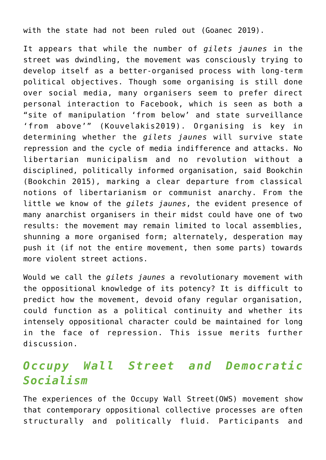with the state had not been ruled out (Goanec 2019).

It appears that while the number of *gilets jaunes* in the street was dwindling, the movement was consciously trying to develop itself as a better-organised process with long-term political objectives. Though some organising is still done over social media, many organisers seem to prefer direct personal interaction to Facebook, which is seen as both a "site of manipulation 'from below' and state surveillance 'from above'" (Kouvelakis2019). Organising is key in determining whether the *gilets jaunes* will survive state repression and the cycle of media indifference and attacks. No libertarian municipalism and no revolution without a disciplined, politically informed organisation, said Bookchin (Bookchin 2015), marking a clear departure from classical notions of libertarianism or communist anarchy. From the little we know of the *gilets jaunes*, the evident presence of many anarchist organisers in their midst could have one of two results: the movement may remain limited to local assemblies, shunning a more organised form; alternately, desperation may push it (if not the entire movement, then some parts) towards more violent street actions.

Would we call the *gilets jaunes* a revolutionary movement with the oppositional knowledge of its potency? It is difficult to predict how the movement, devoid ofany regular organisation, could function as a political continuity and whether its intensely oppositional character could be maintained for long in the face of repression. This issue merits further discussion.

#### *Occupy Wall Street and Democratic Socialism*

The experiences of the Occupy Wall Street(OWS) movement show that contemporary oppositional collective processes are often structurally and politically fluid. Participants and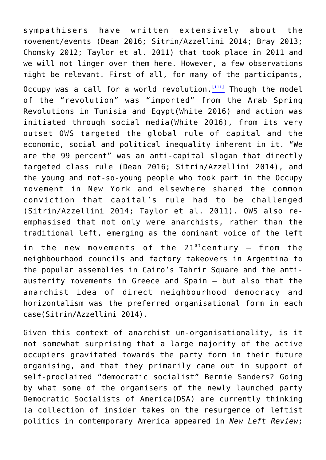sympathisers have written extensively about the movement/events (Dean 2016; Sitrin/Azzellini 2014; Bray 2013; Chomsky 2012; Taylor et al. 2011) that took place in 2011 and we will not linger over them here. However, a few observations might be relevant. First of all, for many of the participants, Occupy was a call for a world revolution. $[$ <sup>iii]</sup> Though the model of the "revolution" was "imported" from the Arab Spring Revolutions in Tunisia and Egypt(White 2016) and action was initiated through social media(White 2016), from its very outset OWS targeted the global rule of capital and the economic, social and political inequality inherent in it. "We are the 99 percent" was an anti-capital slogan that directly targeted class rule (Dean 2016; Sitrin/Azzellini 2014), and the young and not-so-young people who took part in the Occupy movement in New York and elsewhere shared the common conviction that capital's rule had to be challenged (Sitrin/Azzellini 2014; Taylor et al. 2011). OWS also reemphasised that not only were anarchists, rather than the traditional left, emerging as the dominant voice of the left

in the new movements of the  $21^{st}$  century – from the neighbourhood councils and factory takeovers in Argentina to the popular assemblies in Cairo's Tahrir Square and the antiausterity movements in Greece and Spain — but also that the anarchist idea of direct neighbourhood democracy and horizontalism was the preferred organisational form in each case(Sitrin/Azzellini 2014).

Given this context of anarchist un-organisationality, is it not somewhat surprising that a large majority of the active occupiers gravitated towards the party form in their future organising, and that they primarily came out in support of self-proclaimed "democratic socialist" Bernie Sanders? Going by what some of the organisers of the newly launched party Democratic Socialists of America(DSA) are currently thinking (a collection of insider takes on the resurgence of leftist politics in contemporary America appeared in *New Left Review*;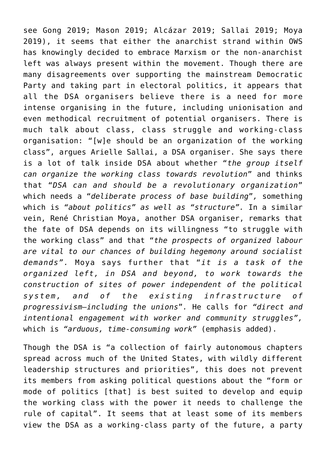see Gong 2019; Mason 2019; Alcázar 2019; Sallai 2019; Moya 2019), it seems that either the anarchist strand within OWS has knowingly decided to embrace Marxism or the non-anarchist left was always present within the movement. Though there are many disagreements over supporting the mainstream Democratic Party and taking part in electoral politics, it appears that all the DSA organisers believe there is a need for more intense organising in the future, including unionisation and even methodical recruitment of potential organisers. There is much talk about class, class struggle and working-class organisation: "[w]e should be an organization of the working class", argues Arielle Sallai, a DSA organiser. She says there is a lot of talk inside DSA about whether "*the group itself can organize the working class towards revolution*" and thinks that "*DSA can and should be a revolutionary organization*" which needs a "*deliberate process of base building*"*,* something which is *"about politics" as well as "structure".* In a similar vein, René Christian Moya, another DSA organiser, remarks that the fate of DSA depends on its willingness "to struggle with the working class" and that "*the prospects of organized labour are vital to our chances of building hegemony around socialist demands".* Moya says further that "*it is a task of the organized left, in DSA and beyond, to work towards the construction of sites of power independent of the political system, and of the existing infrastructure of progressivism—including the unions*"*.* He calls for *"direct and intentional engagement with worker and community struggles",* which is *"arduous, time-consuming work"* (emphasis added).

Though the DSA is "a collection of fairly autonomous chapters spread across much of the United States, with wildly different leadership structures and priorities", this does not prevent its members from asking political questions about the "form or mode of politics [that] is best suited to develop and equip the working class with the power it needs to challenge the rule of capital". It seems that at least some of its members view the DSA as a working-class party of the future, a party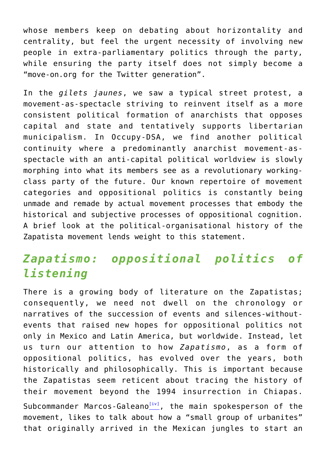whose members keep on debating about horizontality and centrality, but feel the urgent necessity of involving new people in extra-parliamentary politics through the party, while ensuring the party itself does not simply become a "move-on.org for the Twitter generation".

In the *gilets jaunes*, we saw a typical street protest, a movement-as-spectacle striving to reinvent itself as a more consistent political formation of anarchists that opposes capital and state and tentatively supports libertarian municipalism. In Occupy-DSA, we find another political continuity where a predominantly anarchist movement-asspectacle with an anti-capital political worldview is slowly morphing into what its members see as a revolutionary workingclass party of the future. Our known repertoire of movement categories and oppositional politics is constantly being unmade and remade by actual movement processes that embody the historical and subjective processes of oppositional cognition. A brief look at the political-organisational history of the Zapatista movement lends weight to this statement.

#### *Zapatismo: oppositional politics of listening*

There is a growing body of literature on the Zapatistas; consequently, we need not dwell on the chronology or narratives of the succession of events and silences-withoutevents that raised new hopes for oppositional politics not only in Mexico and Latin America, but worldwide. Instead, let us turn our attention to how *Zapatismo*, as a form of oppositional politics, has evolved over the years, both historically and philosophically. This is important because the Zapatistas seem reticent about tracing the history of their movement beyond the 1994 insurrection in Chiapas. Subcommander Marcos-Galeano $[iv]$ , the main spokesperson of the movement, likes to talk about how a "small group of urbanites" that originally arrived in the Mexican jungles to start an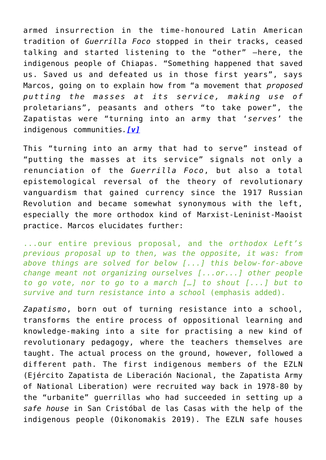armed insurrection in the time-honoured Latin American tradition of *Guerrilla Foco* stopped in their tracks, ceased talking and started listening to the "other" —here, the indigenous people of Chiapas. "Something happened that saved us. Saved us and defeated us in those first years", says Marcos, going on to explain how from "a movement that *proposed putting the masses at its service, making use of* proletarians", peasants and others "to take power", the Zapatistas were "turning into an army that '*serves*' the indigenous communities*.[\[v\]](#page--1-0)*

This "turning into an army that had to serve" instead of "putting the masses at its service" signals not only a renunciation of the *Guerrilla Foco*, but also a total epistemological reversal of the theory of revolutionary vanguardism that gained currency since the 1917 Russian Revolution and became somewhat synonymous with the left, especially the more orthodox kind of Marxist-Leninist-Maoist practice. Marcos elucidates further:

...our entire previous proposal, and the *orthodox Left's previous proposal up to then, was the opposite, it was: from above things are solved for below [...] this below-for-above change meant not organizing ourselves [...or...] other people to go vote, nor to go to a march […] to shout [...] but to survive and turn resistance into a school* (emphasis added)*.*

*Zapatismo*, born out of turning resistance into a school, transforms the entire process of oppositional learning and knowledge-making into a site for practising a new kind of revolutionary pedagogy, where the teachers themselves are taught. The actual process on the ground, however, followed a different path. The first indigenous members of the EZLN (Ejército Zapatista de Liberación Nacional, the Zapatista Army of National Liberation) were recruited way back in 1978-80 by the "urbanite" guerrillas who had succeeded in setting up a *safe house* in San Cristóbal de las Casas with the help of the indigenous people (Oikonomakis 2019). The EZLN safe houses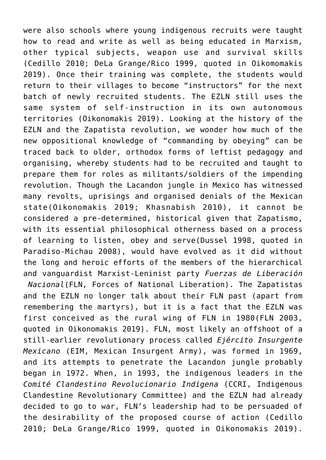were also schools where young indigenous recruits were taught how to read and write as well as being educated in Marxism, other typical subjects, weapon use and survival skills (Cedillo 2010; DeLa Grange/Rico 1999, quoted in Oikomomakis 2019). Once their training was complete, the students would return to their villages to become "instructors" for the next batch of newly recruited students. The EZLN still uses the same system of self-instruction in its own autonomous territories (Oikonomakis 2019). Looking at the history of the EZLN and the Zapatista revolution, we wonder how much of the new oppositional knowledge of "commanding by obeying" can be traced back to older, orthodox forms of leftist pedagogy and organising, whereby students had to be recruited and taught to prepare them for roles as militants/soldiers of the impending revolution. Though the Lacandon jungle in Mexico has witnessed many revolts, uprisings and organised denials of the Mexican state(Oikonomakis 2019; Khasnabish 2010), it cannot be considered a pre-determined, historical given that Zapatismo, with its essential philosophical otherness based on a process of learning to listen, obey and serve(Dussel 1998, quoted in Paradiso-Michau 2008), would have evolved as it did without the long and heroic efforts of the members of the hierarchical and vanguardist Marxist-Leninist party *Fuerzas de Liberación Nacional*(FLN, Forces of National Liberation). The Zapatistas

and the EZLN no longer talk about their FLN past (apart from remembering the martyrs), but it is a fact that the EZLN was first conceived as the rural wing of FLN in 1980(FLN 2003, quoted in Oikonomakis 2019). FLN, most likely an offshoot of a still-earlier revolutionary process called *Ejército Insurgente Mexicano* (EIM, Mexican Insurgent Army), was formed in 1969, and its attempts to penetrate the Lacandon jungle probably began in 1972. When, in 1993, the indigenous leaders in the *Comité Clandestino Revolucionario Indígena* (CCRI, Indigenous Clandestine Revolutionary Committee) and the EZLN had already decided to go to war, FLN's leadership had to be persuaded of the desirability of the proposed course of action (Cedillo 2010; DeLa Grange/Rico 1999, quoted in Oikonomakis 2019).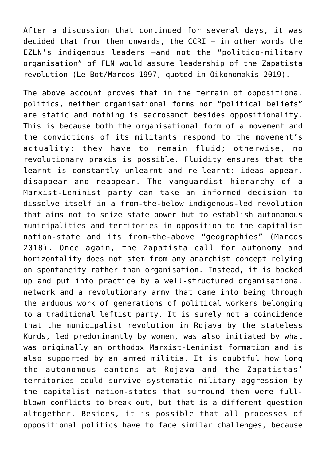After a discussion that continued for several days, it was decided that from then onwards, the  $CCRI - in other words the$ EZLN's indigenous leaders —and not the "politico-military organisation" of FLN would assume leadership of the Zapatista revolution (Le Bot/Marcos 1997, quoted in Oikonomakis 2019).

The above account proves that in the terrain of oppositional politics, neither organisational forms nor "political beliefs" are static and nothing is sacrosanct besides oppositionality. This is because both the organisational form of a movement and the convictions of its militants respond to the movement's actuality: they have to remain fluid; otherwise, no revolutionary praxis is possible. Fluidity ensures that the learnt is constantly unlearnt and re-learnt: ideas appear, disappear and reappear. The vanguardist hierarchy of a Marxist-Leninist party can take an informed decision to dissolve itself in a from-the-below indigenous-led revolution that aims not to seize state power but to establish autonomous municipalities and territories in opposition to the capitalist nation-state and its from-the-above "geographies" (Marcos 2018). Once again, the Zapatista call for autonomy and horizontality does not stem from any anarchist concept relying on spontaneity rather than organisation. Instead, it is backed up and put into practice by a well-structured organisational network and a revolutionary army that came into being through the arduous work of generations of political workers belonging to a traditional leftist party. It is surely not a coincidence that the municipalist revolution in Rojava by the stateless Kurds, led predominantly by women, was also initiated by what was originally an orthodox Marxist-Leninist formation and is also supported by an armed militia. It is doubtful how long the autonomous cantons at Rojava and the Zapatistas' territories could survive systematic military aggression by the capitalist nation-states that surround them were fullblown conflicts to break out, but that is a different question altogether. Besides, it is possible that all processes of oppositional politics have to face similar challenges, because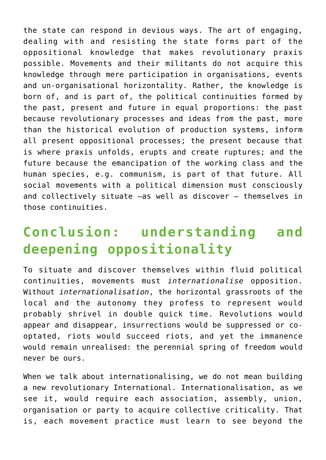the state can respond in devious ways. The art of engaging, dealing with and resisting the state forms part of the oppositional knowledge that makes revolutionary praxis possible. Movements and their militants do not acquire this knowledge through mere participation in organisations, events and un-organisational horizontality. Rather, the knowledge is born of, and is part of, the political continuities formed by the past, present and future in equal proportions: the past because revolutionary processes and ideas from the past, more than the historical evolution of production systems, inform all present oppositional processes; the present because that is where praxis unfolds, erupts and create ruptures; and the future because the emancipation of the working class and the human species, e.g. communism, is part of that future. All social movements with a political dimension must consciously and collectively situate —as well as discover — themselves in those continuities.

# **Conclusion: understanding and deepening oppositionality**

To situate and discover themselves within fluid political continuities, movements must *internationalise* opposition. Without *internationalisation*, the horizontal grassroots of the local and the autonomy they profess to represent would probably shrivel in double quick time. Revolutions would appear and disappear, insurrections would be suppressed or cooptated, riots would succeed riots, and yet the immanence would remain unrealised: the perennial spring of freedom would never be ours.

When we talk about internationalising, we do not mean building a new revolutionary International. Internationalisation, as we see it, would require each association, assembly, union, organisation or party to acquire collective criticality. That is, each movement practice must learn to see beyond the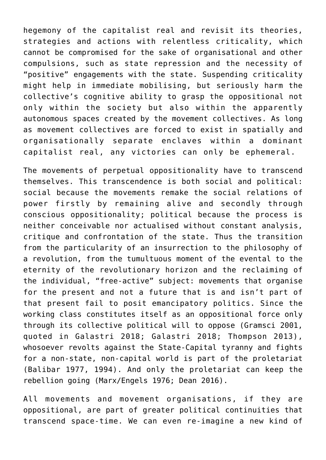hegemony of the capitalist real and revisit its theories, strategies and actions with relentless criticality, which cannot be compromised for the sake of organisational and other compulsions, such as state repression and the necessity of "positive" engagements with the state. Suspending criticality might help in immediate mobilising, but seriously harm the collective's cognitive ability to grasp the oppositional not only within the society but also within the apparently autonomous spaces created by the movement collectives. As long as movement collectives are forced to exist in spatially and organisationally separate enclaves within a dominant capitalist real, any victories can only be ephemeral.

The movements of perpetual oppositionality have to transcend themselves. This transcendence is both social and political: social because the movements remake the social relations of power firstly by remaining alive and secondly through conscious oppositionality; political because the process is neither conceivable nor actualised without constant analysis, critique and confrontation of the state. Thus the transition from the particularity of an insurrection to the philosophy of a revolution, from the tumultuous moment of the evental to the eternity of the revolutionary horizon and the reclaiming of the individual, "free-active" subject: movements that organise for the present and not a future that is and isn't part of that present fail to posit emancipatory politics. Since the working class constitutes itself as an oppositional force only through its collective political will to oppose (Gramsci 2001, quoted in Galastri 2018; Galastri 2018; Thompson 2013), whosoever revolts against the State-Capital tyranny and fights for a non-state, non-capital world is part of the proletariat (Balibar 1977, 1994). And only the proletariat can keep the rebellion going (Marx/Engels 1976; Dean 2016).

All movements and movement organisations, if they are oppositional, are part of greater political continuities that transcend space-time. We can even re-imagine a new kind of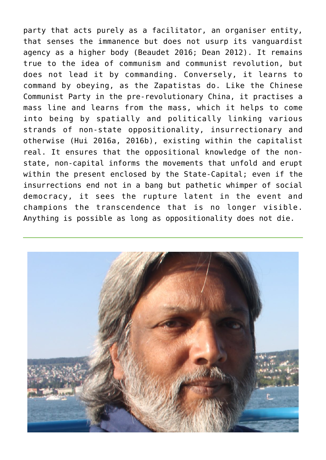party that acts purely as a facilitator, an organiser entity, that senses the immanence but does not usurp its vanguardist agency as a higher body (Beaudet 2016; Dean 2012). It remains true to the idea of communism and communist revolution, but does not lead it by commanding. Conversely, it learns to command by obeying, as the Zapatistas do. Like the Chinese Communist Party in the pre-revolutionary China, it practises a mass line and learns from the mass, which it helps to come into being by spatially and politically linking various strands of non-state oppositionality, insurrectionary and otherwise (Hui 2016a, 2016b), existing within the capitalist real. It ensures that the oppositional knowledge of the nonstate, non-capital informs the movements that unfold and erupt within the present enclosed by the State-Capital; even if the insurrections end not in a bang but pathetic whimper of social democracy, it sees the rupture latent in the event and champions the transcendence that is no longer visible. Anything is possible as long as oppositionality does not die.

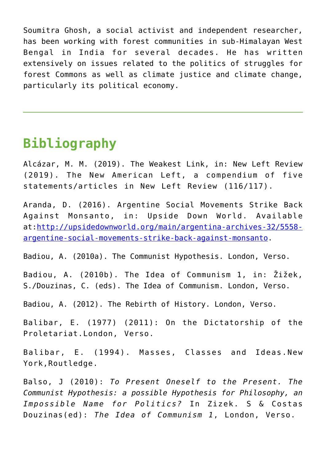Soumitra Ghosh, a social activist and independent researcher, has been working with forest communities in sub-Himalayan West Bengal in India for several decades. He has written extensively on issues related to the politics of struggles for forest Commons as well as climate justice and climate change, particularly its political economy.

### **Bibliography**

Alcázar, M. M. (2019). The Weakest Link, in: New Left Review (2019). The New American Left, a compendium of five statements/articles in New Left Review (116/117).

Aranda, D. (2016). Argentine Social Movements Strike Back Against Monsanto, in: Upside Down World. Available at[:http://upsidedownworld.org/main/argentina-archives-32/5558](http://upsidedownworld.org/main/argentina-archives-32/5558-argentine-social-movements-strike-back-against-monsanto) [argentine-social-movements-strike-back-against-monsanto.](http://upsidedownworld.org/main/argentina-archives-32/5558-argentine-social-movements-strike-back-against-monsanto)

Badiou, A. (2010a). The Communist Hypothesis. London, Verso.

Badiou, A. (2010b). The Idea of Communism 1, in: Žižek, S./Douzinas, C. (eds). The Idea of Communism. London, Verso.

Badiou, A. (2012). The Rebirth of History. London, Verso.

Balibar, E. (1977) (2011): On the Dictatorship of the Proletariat.London, Verso.

Balibar, E. (1994). Masses, Classes and Ideas.New York,Routledge.

Balso, J (2010): *To Present Oneself to the Present. The Communist Hypothesis: a possible Hypothesis for Philosophy, an Impossible Name for Politics?* In Zizek. S & Costas Douzinas(ed): *The Idea of Communism 1*, London, Verso.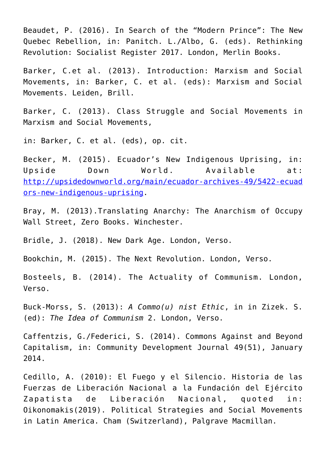Beaudet, P. (2016). In Search of the "Modern Prince": The New Quebec Rebellion, in: Panitch. L./Albo, G. (eds). Rethinking Revolution: Socialist Register 2017. London, Merlin Books.

Barker, C.et al. (2013). Introduction: Marxism and Social Movements, in: Barker, C. et al. (eds): Marxism and Social Movements. Leiden, Brill.

Barker, C. (2013). Class Struggle and Social Movements in Marxism and Social Movements,

in: Barker, C. et al. (eds), op. cit.

Becker, M. (2015). Ecuador's New Indigenous Uprising, in: Upside Down World. Available at: [http://upsidedownworld.org/main/ecuador-archives-49/5422-ecuad](http://upsidedownworld.org/main/ecuador-archives-49/5422-ecuadors-new-indigenous-uprising) [ors-new-indigenous-uprising.](http://upsidedownworld.org/main/ecuador-archives-49/5422-ecuadors-new-indigenous-uprising)

Bray, M. (2013).Translating Anarchy: The Anarchism of Occupy Wall Street, Zero Books. Winchester.

Bridle, J. (2018). New Dark Age. London, Verso.

Bookchin, M. (2015). The Next Revolution. London, Verso.

Bosteels, B. (2014). The Actuality of Communism. London, Verso.

Buck-Morss, S. (2013): *A Commo(u) nist Ethic*, in in Zizek. S. (ed): *The Idea of Communism* 2. London, Verso.

Caffentzis, G./Federici, S. (2014). Commons Against and Beyond Capitalism, in: Community Development Journal 49(51), January 2014.

Cedillo, A. (2010): El Fuego y el Silencio. Historia de las Fuerzas de Liberación Nacional a la Fundación del Ejército Zapatista de Liberación Nacional, quoted in: Oikonomakis(2019). Political Strategies and Social Movements in Latin America. Cham (Switzerland), Palgrave Macmillan.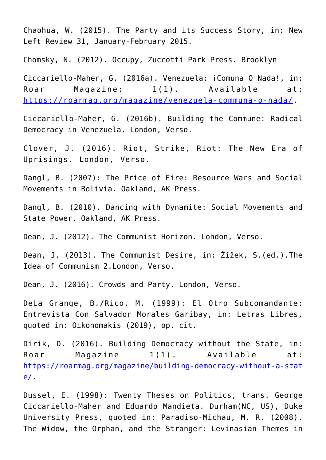Chaohua, W. (2015). The Party and its Success Story, in: New Left Review 31, January-February 2015.

Chomsky, N. (2012). Occupy, Zuccotti Park Press. Brooklyn

Ciccariello-Maher, G. (2016a). Venezuela: ¡Comuna O Nada!, in: Roar Magazine:  $1(1)$ . Available at: <https://roarmag.org/magazine/venezuela-communa-o-nada/>.

Ciccariello-Maher, G. (2016b). Building the Commune: Radical Democracy in Venezuela. London, Verso.

Clover, J. (2016). Riot, Strike, Riot: The New Era of Uprisings. London, Verso.

Dangl, B. (2007): The Price of Fire: Resource Wars and Social Movements in Bolivia. Oakland, AK Press.

Dangl, B. (2010). Dancing with Dynamite: Social Movements and State Power. Oakland, AK Press.

Dean, J. (2012). The Communist Horizon. London, Verso.

Dean, J. (2013). The Communist Desire, in: Žižek, S.(ed.).The Idea of Communism 2.London, Verso.

Dean, J. (2016). Crowds and Party. London, Verso.

DeLa Grange, B./Rico, M. (1999): El Otro Subcomandante: Entrevista Con Salvador Morales Garibay, in: Letras Libres, quoted in: Oikonomakis (2019), op. cit.

Dirik, D. (2016). Building Democracy without the State, in: Roar Magazine  $1(1)$ . Available at: [https://roarmag.org/magazine/building-democracy-without-a-stat](https://roarmag.org/magazine/building-democracy-without-a-state/) [e/.](https://roarmag.org/magazine/building-democracy-without-a-state/)

Dussel, E. (1998): Twenty Theses on Politics, trans. George Ciccariello-Maher and Eduardo Mandieta. Durham(NC, US), Duke University Press, quoted in: Paradiso-Michau, M. R. (2008). The Widow, the Orphan, and the Stranger: Levinasian Themes in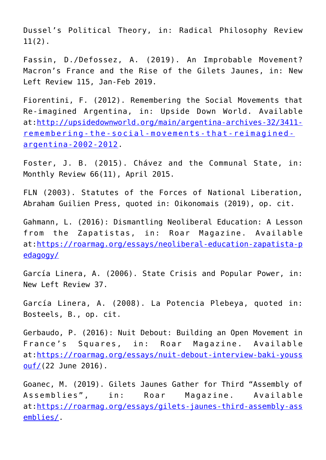Dussel's Political Theory, in: Radical Philosophy Review 11(2).

Fassin, D./Defossez, A. (2019). An Improbable Movement? Macron's France and the Rise of the Gilets Jaunes, in: New Left Review 115, Jan-Feb 2019.

Fiorentini, F. (2012). Remembering the Social Movements that Re-imagined Argentina, in: Upside Down World. Available at[:http://upsidedownworld.org/main/argentina-archives-32/3411](http://upsidedownworld.org/main/argentina-archives-32/3411-remembering-the-social-movements-that-reimagined-argentina-2002-2012) [remembering-the-social-movements-that-reimagined](http://upsidedownworld.org/main/argentina-archives-32/3411-remembering-the-social-movements-that-reimagined-argentina-2002-2012)[argentina-2002-2012.](http://upsidedownworld.org/main/argentina-archives-32/3411-remembering-the-social-movements-that-reimagined-argentina-2002-2012)

Foster, J. B. (2015). Chávez and the Communal State, in: Monthly Review 66(11), April 2015.

FLN (2003). Statutes of the Forces of National Liberation, Abraham Guilien Press, quoted in: Oikonomais (2019), op. cit.

Gahmann, L. (2016): Dismantling Neoliberal Education: A Lesson from the Zapatistas, in: Roar Magazine. Available at[:https://roarmag.org/essays/neoliberal-education-zapatista-p](https://roarmag.org/essays/neoliberal-education-zapatista-pedagogy/) [edagogy/](https://roarmag.org/essays/neoliberal-education-zapatista-pedagogy/)

García Linera, A. (2006). State Crisis and Popular Power, in: New Left Review 37.

García Linera, A. (2008). La Potencia Plebeya, quoted in: Bosteels, B., op. cit.

Gerbaudo, P. (2016): Nuit Debout: Building an Open Movement in France's Squares, in: Roar Magazine. Available at[:https://roarmag.org/essays/nuit-debout-interview-baki-youss](https://roarmag.org/essays/nuit-debout-interview-baki-youssouf/)  $out/(22$  June 2016).

Goanec, M. (2019). Gilets Jaunes Gather for Third "Assembly of Assemblies", in: Roar Magazine. Available at[:https://roarmag.org/essays/gilets-jaunes-third-assembly-ass](https://roarmag.org/essays/gilets-jaunes-third-assembly-assemblies/) [emblies/.](https://roarmag.org/essays/gilets-jaunes-third-assembly-assemblies/)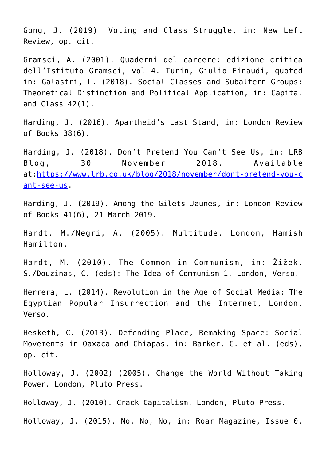Gong, J. (2019). Voting and Class Struggle, in: New Left Review, op. cit.

Gramsci, A. (2001). Quaderni del carcere: edizione critica dell'Istituto Gramsci, vol 4. Turin, Giulio Einaudi, quoted in: Galastri, L. (2018). Social Classes and Subaltern Groups: Theoretical Distinction and Political Application, in: Capital and Class 42(1).

Harding, J. (2016). Apartheid's Last Stand, in: London Review of Books 38(6).

Harding, J. (2018). Don't Pretend You Can't See Us, in: LRB Blog, 30 November 2018. Available at[:https://www.lrb.co.uk/blog/2018/november/dont-pretend-you-c](https://www.lrb.co.uk/blog/2018/november/dont-pretend-you-cant-see-us) [ant-see-us.](https://www.lrb.co.uk/blog/2018/november/dont-pretend-you-cant-see-us)

Harding, J. (2019). Among the Gilets Jaunes, in: London Review of Books 41(6), 21 March 2019.

Hardt, M./Negri, A. (2005). Multitude. London, Hamish Hamilton.

Hardt, M. (2010). The Common in Communism, in: Žižek, S./Douzinas, C. (eds): The Idea of Communism 1. London, Verso.

Herrera, L. (2014). Revolution in the Age of Social Media: The Egyptian Popular Insurrection and the Internet, London. Verso.

Hesketh, C. (2013). Defending Place, Remaking Space: Social Movements in Oaxaca and Chiapas, in: Barker, C. et al. (eds), op. cit.

Holloway, J. (2002) (2005). Change the World Without Taking Power. London, Pluto Press.

Holloway, J. (2010). Crack Capitalism. London, Pluto Press.

Holloway, J. (2015). No, No, No, in: Roar Magazine, Issue 0.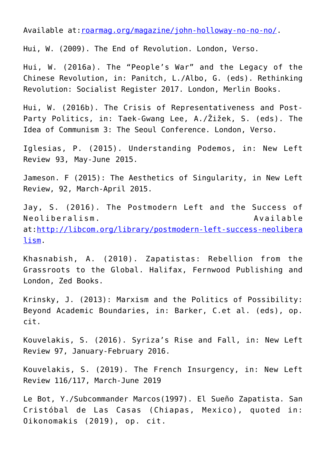Available at[:roarmag.org/magazine/john-holloway-no-no-no/.](https://roarmag.org/magazine/john-holloway-no-no-no/)

Hui, W. (2009). The End of Revolution. London, Verso.

Hui, W. (2016a). The "People's War" and the Legacy of the Chinese Revolution, in: Panitch, L./Albo, G. (eds). Rethinking Revolution: Socialist Register 2017. London, Merlin Books.

Hui, W. (2016b). The Crisis of Representativeness and Post-Party Politics, in: Taek-Gwang Lee, A./Žižek, S. (eds). The Idea of Communism 3: The Seoul Conference. London, Verso.

Iglesias, P. (2015). Understanding Podemos, in: New Left Review 93, May-June 2015.

Jameson. F (2015): The Aesthetics of Singularity, in New Left Review, 92, March-April 2015.

Jay, S. (2016). The Postmodern Left and the Success of Neoliberalism. Available at[:http://libcom.org/library/postmodern-left-success-neolibera](http://libcom.org/library/postmodern-left-success-neoliberalism) [lism](http://libcom.org/library/postmodern-left-success-neoliberalism).

Khasnabish, A. (2010). Zapatistas: Rebellion from the Grassroots to the Global. Halifax, Fernwood Publishing and London, Zed Books.

Krinsky, J. (2013): Marxism and the Politics of Possibility: Beyond Academic Boundaries, in: Barker, C.et al. (eds), op. cit.

Kouvelakis, S. (2016). Syriza's Rise and Fall, in: New Left Review 97, January-February 2016.

Kouvelakis, S. (2019). The French Insurgency, in: New Left Review 116/117, March-June 2019

Le Bot, Y./Subcommander Marcos(1997). El Sueño Zapatista. San Cristóbal de Las Casas (Chiapas, Mexico), quoted in: Oikonomakis (2019), op. cit.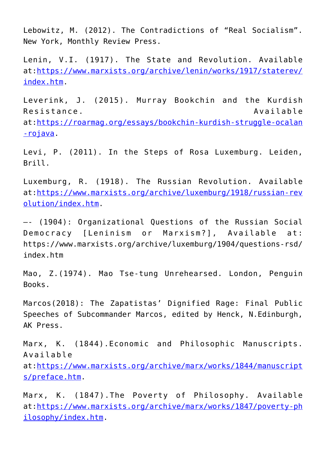Lebowitz, M. (2012). The Contradictions of "Real Socialism". New York, Monthly Review Press.

Lenin, V.I. (1917). The State and Revolution. Available at[:https://www.marxists.org/archive/lenin/works/1917/staterev/](https://www.marxists.org/archive/lenin/works/1917/staterev/index.htm) [index.htm.](https://www.marxists.org/archive/lenin/works/1917/staterev/index.htm)

Leverink, J. (2015). Murray Bookchin and the Kurdish Resistance. Available at[:https://roarmag.org/essays/bookchin-kurdish-struggle-ocalan](https://roarmag.org/essays/bookchin-kurdish-struggle-ocalan-rojava) [-rojava](https://roarmag.org/essays/bookchin-kurdish-struggle-ocalan-rojava).

Levi, P. (2011). In the Steps of Rosa Luxemburg. Leiden, Brill.

Luxemburg, R. (1918). The Russian Revolution. Available at[:https://www.marxists.org/archive/luxemburg/1918/russian-rev](https://www.marxists.org/archive/luxemburg/1918/russian-revolution/index.htm) [olution/index.htm.](https://www.marxists.org/archive/luxemburg/1918/russian-revolution/index.htm)

—- (1904): Organizational Questions of the Russian Social Democracy [Leninism or Marxism?], Available at: https://www.marxists.org/archive/luxemburg/1904/questions-rsd/ index.htm

Mao, Z.(1974). Mao Tse-tung Unrehearsed. London, Penguin Books.

Marcos(2018): The Zapatistas' Dignified Rage: Final Public Speeches of Subcommander Marcos, edited by Henck, N.Edinburgh, AK Press.

Marx, K. (1844).Economic and Philosophic Manuscripts. Available at[:https://www.marxists.org/archive/marx/works/1844/manuscript](https://www.marxists.org/archive/marx/works/1844/manuscripts/preface.htm) [s/preface.htm](https://www.marxists.org/archive/marx/works/1844/manuscripts/preface.htm).

Marx, K. (1847).The Poverty of Philosophy. Available at[:https://www.marxists.org/archive/marx/works/1847/poverty-ph](https://www.marxists.org/archive/marx/works/1847/poverty-philosophy/index.htm) [ilosophy/index.htm.](https://www.marxists.org/archive/marx/works/1847/poverty-philosophy/index.htm)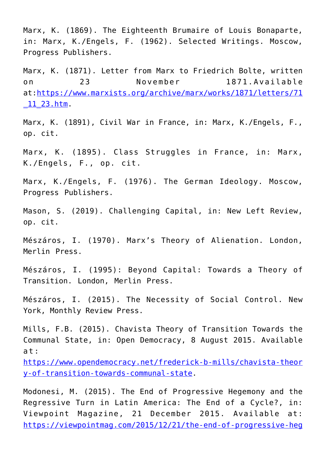Marx, K. (1869). The Eighteenth Brumaire of Louis Bonaparte, in: Marx, K./Engels, F. (1962). Selected Writings. Moscow, Progress Publishers.

Marx, K. (1871). Letter from Marx to Friedrich Bolte, written on 23 November 1871.Available at[:https://www.marxists.org/archive/marx/works/1871/letters/71](https://www.marxists.org/archive/marx/works/1871/letters/71_11_23.htm)  $11$   $23.htm$ .

Marx, K. (1891), Civil War in France, in: Marx, K./Engels, F., op. cit.

Marx, K. (1895). Class Struggles in France, in: Marx, K./Engels, F., op. cit.

Marx, K./Engels, F. (1976). The German Ideology. Moscow, Progress Publishers.

Mason, S. (2019). Challenging Capital, in: New Left Review, op. cit.

Mészáros, I. (1970). Marx's Theory of Alienation. London, Merlin Press.

Mészáros, I. (1995): Beyond Capital: Towards a Theory of Transition. London, Merlin Press.

Mészáros, I. (2015). The Necessity of Social Control. New York, Monthly Review Press.

Mills, F.B. (2015). Chavista Theory of Transition Towards the Communal State, in: Open Democracy, 8 August 2015. Available at:

[https://www.opendemocracy.net/frederick-b-mills/chavista-theor](https://www.opendemocracy.net/frederick-b-mills/chavista-theory-of-transition-towards-communal-state) [y-of-transition-towards-communal-state](https://www.opendemocracy.net/frederick-b-mills/chavista-theory-of-transition-towards-communal-state).

Modonesi, M. (2015). The End of Progressive Hegemony and the Regressive Turn in Latin America: The End of a Cycle?, in: Viewpoint Magazine, 21 December 2015. Available at: [https://viewpointmag.com/2015/12/21/the-end-of-progressive-heg](https://viewpointmag.com/2015/12/21/the-end-of-progressive-hegemony-and-the-regressive-turn-in-latin-america-the-end-of-a-cycle/)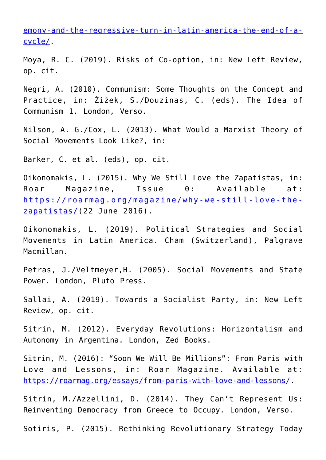[emony-and-the-regressive-turn-in-latin-america-the-end-of-a](https://viewpointmag.com/2015/12/21/the-end-of-progressive-hegemony-and-the-regressive-turn-in-latin-america-the-end-of-a-cycle/)[cycle/](https://viewpointmag.com/2015/12/21/the-end-of-progressive-hegemony-and-the-regressive-turn-in-latin-america-the-end-of-a-cycle/).

Moya, R. C. (2019). Risks of Co-option, in: New Left Review, op. cit.

Negri, A. (2010). Communism: Some Thoughts on the Concept and Practice, in: Žižek, S./Douzinas, C. (eds). The Idea of Communism 1. London, Verso.

Nilson, A. G./Cox, L. (2013). What Would a Marxist Theory of Social Movements Look Like?, in:

Barker, C. et al. (eds), op. cit.

Oikonomakis, L. (2015). Why We Still Love the Zapatistas, in: Roar Magazine, Issue 0: Available at: [https://roarmag.org/magazine/why-we-still-love-the](https://roarmag.org/magazine/why-we-still-love-the-zapatistas/)[zapatistas/\(](https://roarmag.org/magazine/why-we-still-love-the-zapatistas/)22 June 2016).

Oikonomakis, L. (2019). Political Strategies and Social Movements in Latin America. Cham (Switzerland), Palgrave Macmillan.

Petras, J./Veltmeyer,H. (2005). Social Movements and State Power. London, Pluto Press.

Sallai, A. (2019). Towards a Socialist Party, in: New Left Review, op. cit.

Sitrin, M. (2012). Everyday Revolutions: Horizontalism and Autonomy in Argentina. London, Zed Books.

Sitrin, M. (2016): "Soon We Will Be Millions": From Paris with Love and Lessons, in: Roar Magazine. Available at: <https://roarmag.org/essays/from-paris-with-love-and-lessons/>.

Sitrin, M./Azzellini, D. (2014). They Can't Represent Us: Reinventing Democracy from Greece to Occupy. London, Verso.

Sotiris, P. (2015). Rethinking Revolutionary Strategy Today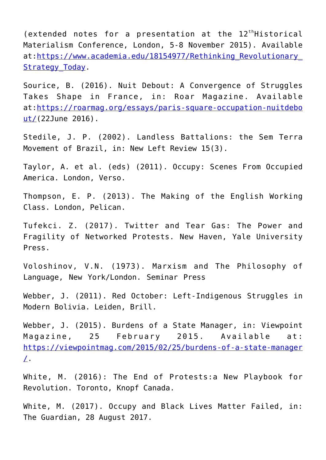(extended notes for a presentation at the  $12<sup>th</sup>$ Historical Materialism Conference, London, 5-8 November 2015). Available at:https://www.academia.edu/18154977/Rethinking Revolutionary\_ Strategy Today.

Sourice, B. (2016). Nuit Debout: A Convergence of Struggles Takes Shape in France, in: Roar Magazine. Available at[:https://roarmag.org/essays/paris-square-occupation-nuitdebo](https://roarmag.org/essays/paris-square-occupation-nuitdebout/) [ut/\(](https://roarmag.org/essays/paris-square-occupation-nuitdebout/)22June 2016).

Stedile, J. P. (2002). Landless Battalions: the Sem Terra Movement of Brazil, in: New Left Review 15(3).

Taylor, A. et al. (eds) (2011). Occupy: Scenes From Occupied America. London, Verso.

Thompson, E. P. (2013). The Making of the English Working Class. London, Pelican.

Tufekci. Z. (2017). Twitter and Tear Gas: The Power and Fragility of Networked Protests. New Haven, Yale University Press.

Voloshinov, V.N. (1973). Marxism and The Philosophy of Language, New York/London. Seminar Press

Webber, J. (2011). Red October: Left-Indigenous Struggles in Modern Bolivia. Leiden, Brill.

Webber, J. (2015). Burdens of a State Manager, in: Viewpoint Magazine, 25 February 2015. Available at: [https://viewpointmag.com/2015/02/25/burdens-of-a-state-manager](https://viewpointmag.com/2015/02/25/burdens-of-a-state-manager/)  $\perp$ .

White, M. (2016): The End of Protests:a New Playbook for Revolution. Toronto, Knopf Canada.

White, M. (2017). Occupy and Black Lives Matter Failed, in: The Guardian, 28 August 2017.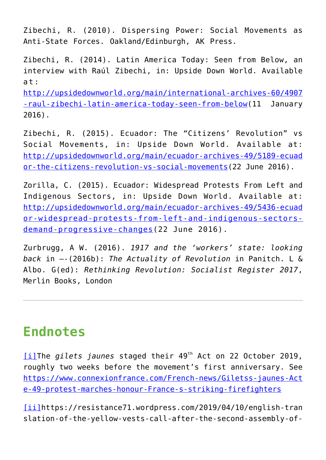Zibechi, R. (2010). Dispersing Power: Social Movements as Anti-State Forces. Oakland/Edinburgh, AK Press.

Zibechi, R. (2014). Latin America Today: Seen from Below, an interview with Raúl Zibechi, in: Upside Down World. Available at:

[http://upsidedownworld.org/main/international-archives-60/4907](http://upsidedownworld.org/main/international-archives-60/4907-raul-zibechi-latin-america-today-seen-from-below) [-raul-zibechi-latin-america-today-seen-from-below](http://upsidedownworld.org/main/international-archives-60/4907-raul-zibechi-latin-america-today-seen-from-below)(11 January 2016).

Zibechi, R. (2015). Ecuador: The "Citizens' Revolution" vs Social Movements, in: Upside Down World. Available at: [http://upsidedownworld.org/main/ecuador-archives-49/5189-ecuad](http://upsidedownworld.org/main/ecuador-archives-49/5189-ecuador-the-citizens-revolution-vs-social-movements) [or-the-citizens-revolution-vs-social-movements](http://upsidedownworld.org/main/ecuador-archives-49/5189-ecuador-the-citizens-revolution-vs-social-movements)(22 June 2016).

Zorilla, C. (2015). Ecuador: Widespread Protests From Left and Indigenous Sectors, in: Upside Down World. Available at: [http://upsidedownworld.org/main/ecuador-archives-49/5436-ecuad](http://upsidedownworld.org/main/ecuador-archives-49/5436-ecuador-widespread-protests-from-left-and-indigenous-sectors-demand-progressive-changes) [or-widespread-protests-from-left-and-indigenous-sectors](http://upsidedownworld.org/main/ecuador-archives-49/5436-ecuador-widespread-protests-from-left-and-indigenous-sectors-demand-progressive-changes)[demand-progressive-changes\(](http://upsidedownworld.org/main/ecuador-archives-49/5436-ecuador-widespread-protests-from-left-and-indigenous-sectors-demand-progressive-changes)22 June 2016).

Zurbrugg, A W. (2016). *1917 and the 'workers' state: looking back* in —-(2016b): *The Actuality of Revolution* in Panitch. L & Albo. G(ed): *Rethinking Revolution: Socialist Register 2017*, Merlin Books, London

#### **Endnotes**

[\[i\]](#page--1-0)The *gilets jaunes* staged their 49<sup>th</sup> Act on 22 October 2019, roughly two weeks before the movement's first anniversary. See [https://www.connexionfrance.com/French-news/Giletss-jaunes-Act](https://www.connexionfrance.com/French-news/Gilets-jaunes-Acte-49-protest-marches-honour-France-s-striking-firefighters) [e-49-protest-marches-honour-France-s-striking-firefighters](https://www.connexionfrance.com/French-news/Gilets-jaunes-Acte-49-protest-marches-honour-France-s-striking-firefighters)

[\[ii\]](#page--1-0)https://resistance71.wordpress.com/2019/04/10/english-tran slation-of-the-yellow-vests-call-after-the-second-assembly-of